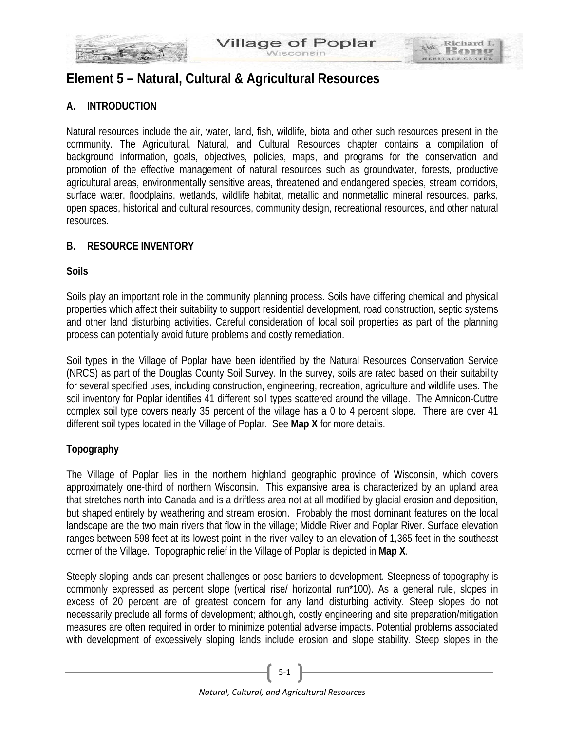

# **Element 5 – Natural, Cultural & Agricultural Resources**

# **A. INTRODUCTION**

Natural resources include the air, water, land, fish, wildlife, biota and other such resources present in the community. The Agricultural, Natural, and Cultural Resources chapter contains a compilation of background information, goals, objectives, policies, maps, and programs for the conservation and promotion of the effective management of natural resources such as groundwater, forests, productive agricultural areas, environmentally sensitive areas, threatened and endangered species, stream corridors, surface water, floodplains, wetlands, wildlife habitat, metallic and nonmetallic mineral resources, parks, open spaces, historical and cultural resources, community design, recreational resources, and other natural resources.

# **B. RESOURCE INVENTORY**

# **Soils**

Soils play an important role in the community planning process. Soils have differing chemical and physical properties which affect their suitability to support residential development, road construction, septic systems and other land disturbing activities. Careful consideration of local soil properties as part of the planning process can potentially avoid future problems and costly remediation.

Soil types in the Village of Poplar have been identified by the Natural Resources Conservation Service (NRCS) as part of the Douglas County Soil Survey. In the survey, soils are rated based on their suitability for several specified uses, including construction, engineering, recreation, agriculture and wildlife uses. The soil inventory for Poplar identifies 41 different soil types scattered around the village. The Amnicon-Cuttre complex soil type covers nearly 35 percent of the village has a 0 to 4 percent slope. There are over 41 different soil types located in the Village of Poplar. See **Map X** for more details.

# **Topography**

The Village of Poplar lies in the northern highland geographic province of Wisconsin, which covers approximately one-third of northern Wisconsin. This expansive area is characterized by an upland area that stretches north into Canada and is a driftless area not at all modified by glacial erosion and deposition, but shaped entirely by weathering and stream erosion. Probably the most dominant features on the local landscape are the two main rivers that flow in the village; Middle River and Poplar River. Surface elevation ranges between 598 feet at its lowest point in the river valley to an elevation of 1,365 feet in the southeast corner of the Village. Topographic relief in the Village of Poplar is depicted in **Map X**.

Steeply sloping lands can present challenges or pose barriers to development. Steepness of topography is commonly expressed as percent slope (vertical rise/ horizontal run\*100). As a general rule, slopes in excess of 20 percent are of greatest concern for any land disturbing activity. Steep slopes do not necessarily preclude all forms of development; although, costly engineering and site preparation/mitigation measures are often required in order to minimize potential adverse impacts. Potential problems associated with development of excessively sloping lands include erosion and slope stability. Steep slopes in the

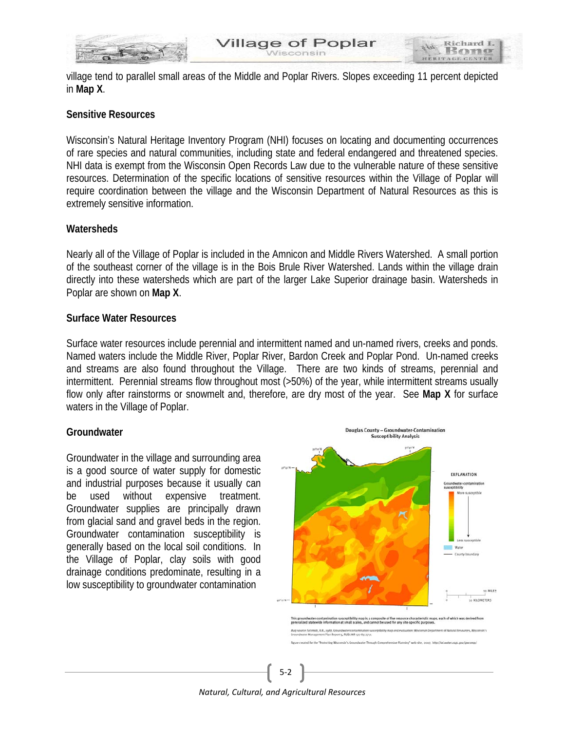

village tend to parallel small areas of the Middle and Poplar Rivers. Slopes exceeding 11 percent depicted in **Map X**.

# **Sensitive Resources**

Wisconsin's Natural Heritage Inventory Program (NHI) focuses on locating and documenting occurrences of rare species and natural communities, including state and federal endangered and threatened species. NHI data is exempt from the Wisconsin Open Records Law due to the vulnerable nature of these sensitive resources. Determination of the specific locations of sensitive resources within the Village of Poplar will require coordination between the village and the Wisconsin Department of Natural Resources as this is extremely sensitive information.

# **Watersheds**

Nearly all of the Village of Poplar is included in the Amnicon and Middle Rivers Watershed. A small portion of the southeast corner of the village is in the Bois Brule River Watershed. Lands within the village drain directly into these watersheds which are part of the larger Lake Superior drainage basin. Watersheds in Poplar are shown on **Map X**.

# **Surface Water Resources**

Surface water resources include perennial and intermittent named and un-named rivers, creeks and ponds. Named waters include the Middle River, Poplar River, Bardon Creek and Poplar Pond. Un-named creeks and streams are also found throughout the Village. There are two kinds of streams, perennial and intermittent. Perennial streams flow throughout most (>50%) of the year, while intermittent streams usually flow only after rainstorms or snowmelt and, therefore, are dry most of the year. See **Map X** for surface waters in the Village of Poplar.

# **Groundwater**

Groundwater in the village and surrounding area is a good source of water supply for domestic and industrial purposes because it usually can be used without expensive treatment. Groundwater supplies are principally drawn from glacial sand and gravel beds in the region. Groundwater contamination susceptibility is generally based on the local soil conditions. In the Village of Poplar, clay soils with good drainage conditions predominate, resulting in a low susceptibility to groundwater contamination



*Natural, Cultural, and Agricultural Resources*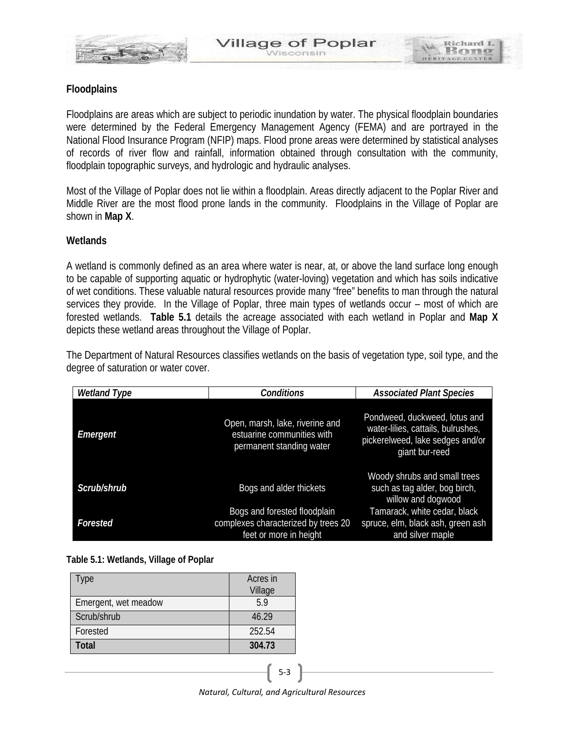

Richard

# **Floodplains**

Floodplains are areas which are subject to periodic inundation by water. The physical floodplain boundaries were determined by the Federal Emergency Management Agency (FEMA) and are portrayed in the National Flood Insurance Program (NFIP) maps. Flood prone areas were determined by statistical analyses of records of river flow and rainfall, information obtained through consultation with the community, floodplain topographic surveys, and hydrologic and hydraulic analyses.

Most of the Village of Poplar does not lie within a floodplain. Areas directly adjacent to the Poplar River and Middle River are the most flood prone lands in the community. Floodplains in the Village of Poplar are shown in **Map X**.

# **Wetlands**

A wetland is commonly defined as an area where water is near, at, or above the land surface long enough to be capable of supporting aquatic or hydrophytic (water-loving) vegetation and which has soils indicative of wet conditions. These valuable natural resources provide many "free" benefits to man through the natural services they provide. In the Village of Poplar, three main types of wetlands occur – most of which are forested wetlands. **Table 5.1** details the acreage associated with each wetland in Poplar and **Map X** depicts these wetland areas throughout the Village of Poplar.

The Department of Natural Resources classifies wetlands on the basis of vegetation type, soil type, and the degree of saturation or water cover.

| <b>Wetland Type</b> | <b>Conditions</b>                                                                             | <b>Associated Plant Species</b>                                                                                           |
|---------------------|-----------------------------------------------------------------------------------------------|---------------------------------------------------------------------------------------------------------------------------|
| Emergent            | Open, marsh, lake, riverine and<br>estuarine communities with<br>permanent standing water     | Pondweed, duckweed, lotus and<br>water-lilies, cattails, bulrushes,<br>pickerelweed, lake sedges and/or<br>giant bur-reed |
| Scrub/shrub         | Bogs and alder thickets                                                                       | Woody shrubs and small trees<br>such as tag alder, bog birch,<br>willow and dogwood                                       |
| Forested            | Bogs and forested floodplain<br>complexes characterized by trees 20<br>feet or more in height | Tamarack, white cedar, black<br>spruce, elm, black ash, green ash<br>and silver maple                                     |

# **Table 5.1: Wetlands, Village of Poplar**

| Type                 | Acres in<br>Village |
|----------------------|---------------------|
| Emergent, wet meadow | 59                  |
| Scrub/shrub          | 46.29               |
| Forested             | 252.54              |
| Total                | 304.73              |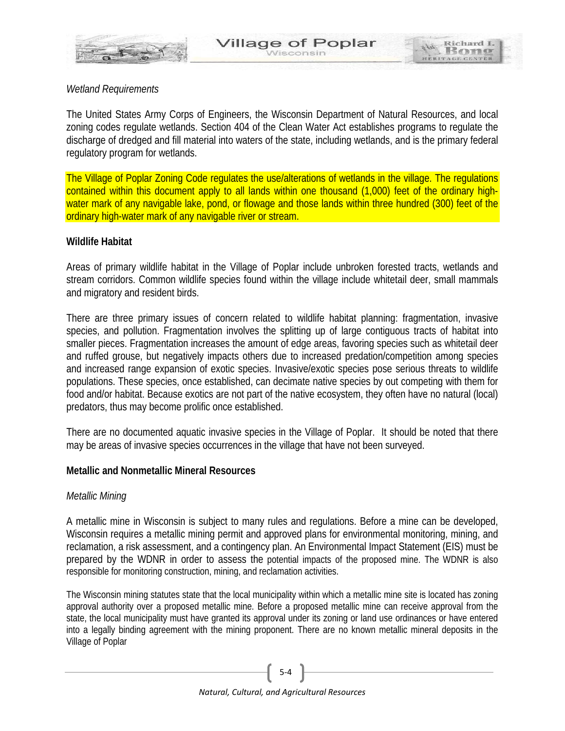

*Wetland Requirements*

The United States Army Corps of Engineers, the Wisconsin Department of Natural Resources, and local zoning codes regulate wetlands. Section 404 of the Clean Water Act establishes programs to regulate the discharge of dredged and fill material into waters of the state, including wetlands, and is the primary federal regulatory program for wetlands.

The Village of Poplar Zoning Code regulates the use/alterations of wetlands in the village. The regulations contained within this document apply to all lands within one thousand (1,000) feet of the ordinary highwater mark of any navigable lake, pond, or flowage and those lands within three hundred (300) feet of the ordinary high-water mark of any navigable river or stream.

# **Wildlife Habitat**

Areas of primary wildlife habitat in the Village of Poplar include unbroken forested tracts, wetlands and stream corridors. Common wildlife species found within the village include whitetail deer, small mammals and migratory and resident birds.

There are three primary issues of concern related to wildlife habitat planning: fragmentation, invasive species, and pollution. Fragmentation involves the splitting up of large contiguous tracts of habitat into smaller pieces. Fragmentation increases the amount of edge areas, favoring species such as whitetail deer and ruffed grouse, but negatively impacts others due to increased predation/competition among species and increased range expansion of exotic species. Invasive/exotic species pose serious threats to wildlife populations. These species, once established, can decimate native species by out competing with them for food and/or habitat. Because exotics are not part of the native ecosystem, they often have no natural (local) predators, thus may become prolific once established.

There are no documented aquatic invasive species in the Village of Poplar. It should be noted that there may be areas of invasive species occurrences in the village that have not been surveyed.

# **Metallic and Nonmetallic Mineral Resources**

# *Metallic Mining*

A metallic mine in Wisconsin is subject to many rules and regulations. Before a mine can be developed, Wisconsin requires a metallic mining permit and approved plans for environmental monitoring, mining, and reclamation, a risk assessment, and a contingency plan. An Environmental Impact Statement (EIS) must be prepared by the WDNR in order to assess the potential impacts of the proposed mine. The WDNR is also responsible for monitoring construction, mining, and reclamation activities.

The Wisconsin mining statutes state that the local municipality within which a metallic mine site is located has zoning approval authority over a proposed metallic mine. Before a proposed metallic mine can receive approval from the state, the local municipality must have granted its approval under its zoning or land use ordinances or have entered into a legally binding agreement with the mining proponent. There are no known metallic mineral deposits in the Village of Poplar

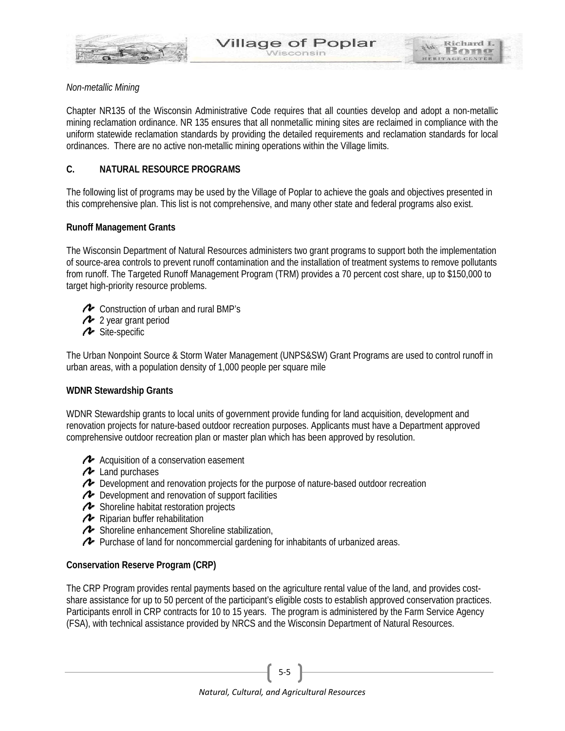

Richard 1 ROT

Chapter NR135 of the Wisconsin Administrative Code requires that all counties develop and adopt a non-metallic mining reclamation ordinance. NR 135 ensures that all nonmetallic mining sites are reclaimed in compliance with the uniform statewide reclamation standards by providing the detailed requirements and reclamation standards for local ordinances. There are no active non-metallic mining operations within the Village limits.

# **C. NATURAL RESOURCE PROGRAMS**

The following list of programs may be used by the Village of Poplar to achieve the goals and objectives presented in this comprehensive plan. This list is not comprehensive, and many other state and federal programs also exist.

# **Runoff Management Grants**

The Wisconsin Department of Natural Resources administers two grant programs to support both the implementation of source-area controls to prevent runoff contamination and the installation of treatment systems to remove pollutants from runoff. The Targeted Runoff Management Program (TRM) provides a 70 percent cost share, up to \$150,000 to target high-priority resource problems.

- **EX** Construction of urban and rural BMP's
- 2 year grant period
- **A** Site-specific

The Urban Nonpoint Source & Storm Water Management (UNPS&SW) Grant Programs are used to control runoff in urban areas, with a population density of 1,000 people per square mile

# **WDNR Stewardship Grants**

WDNR Stewardship grants to local units of government provide funding for land acquisition, development and renovation projects for nature-based outdoor recreation purposes. Applicants must have a Department approved comprehensive outdoor recreation plan or master plan which has been approved by resolution.

- Acquisition of a conservation easement
- **A** Land purchases
- Development and renovation projects for the purpose of nature-based outdoor recreation
- ◆ Development and renovation of support facilities
- Shoreline habitat restoration projects
- **A** Riparian buffer rehabilitation
- Shoreline enhancement Shoreline stabilization,
- $\triangle$  Purchase of land for noncommercial gardening for inhabitants of urbanized areas.

# **Conservation Reserve Program (CRP)**

The CRP Program provides rental payments based on the agriculture rental value of the land, and provides costshare assistance for up to 50 percent of the participant's eligible costs to establish approved conservation practices. Participants enroll in CRP contracts for 10 to 15 years. The program is administered by the Farm Service Agency (FSA), with technical assistance provided by NRCS and the Wisconsin Department of Natural Resources.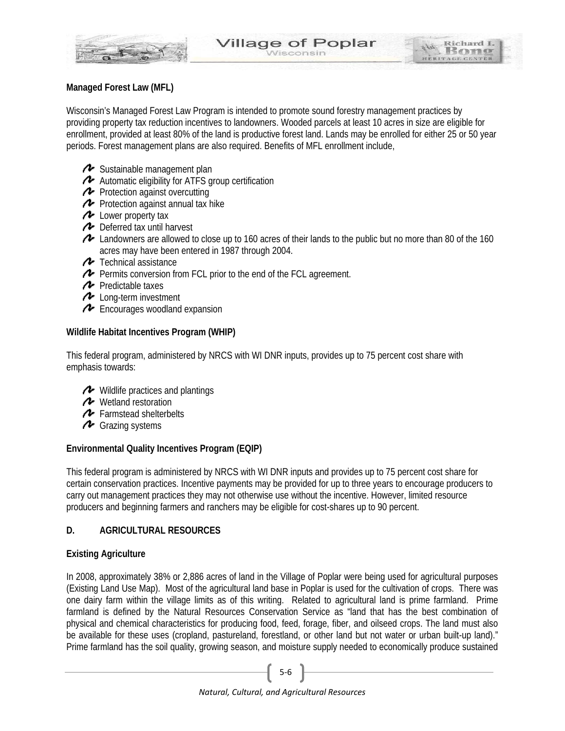

# **Managed Forest Law (MFL)**

Wisconsin's Managed Forest Law Program is intended to promote sound forestry management practices by providing property tax reduction incentives to landowners. Wooded parcels at least 10 acres in size are eligible for enrollment, provided at least 80% of the land is productive forest land. Lands may be enrolled for either 25 or 50 year periods. Forest management plans are also required. Benefits of MFL enrollment include,

- ◆ Sustainable management plan
- Automatic eligibility for [ATFS group certification](http://dnr.wi.gov/forestry/certification/mfl.html)
- **P** Protection against overcutting
- **Protection against annual tax hike**
- **A** Lower property tax
- ← Deferred tax until harvest
- Landowners are allowed to close up to 160 acres of their lands to the public but no more than 80 of the 160 acres may have been entered in 1987 through 2004.
- **T** Technical assistance
- Permits conversion from FCL prior to the end of the FCL agreement.
- $\rightarrow$  Predictable taxes
- **Long-term investment**
- Encourages woodland expansion

# **Wildlife Habitat Incentives Program (WHIP)**

This federal program, administered by NRCS with WI DNR inputs, provides up to 75 percent cost share with emphasis towards:

- Wildlife practices and plantings
- ← Wetland restoration
- Farmstead shelterbelts
- Grazing systems

# **Environmental Quality Incentives Program (EQIP)**

This federal program is administered by NRCS with WI DNR inputs and provides up to 75 percent cost share for certain conservation practices. Incentive payments may be provided for up to three years to encourage producers to carry out management practices they may not otherwise use without the incentive. However, limited resource producers and beginning farmers and ranchers may be eligible for cost-shares up to 90 percent.

# **D. AGRICULTURAL RESOURCES**

# **Existing Agriculture**

In 2008, approximately 38% or 2,886 acres of land in the Village of Poplar were being used for agricultural purposes (Existing Land Use Map). Most of the agricultural land base in Poplar is used for the cultivation of crops. There was one dairy farm within the village limits as of this writing. Related to agricultural land is prime farmland. Prime farmland is defined by the Natural Resources Conservation Service as "land that has the best combination of physical and chemical characteristics for producing food, feed, forage, fiber, and oilseed crops. The land must also be available for these uses (cropland, pastureland, forestland, or other land but not water or urban built-up land)." Prime farmland has the soil quality, growing season, and moisture supply needed to economically produce sustained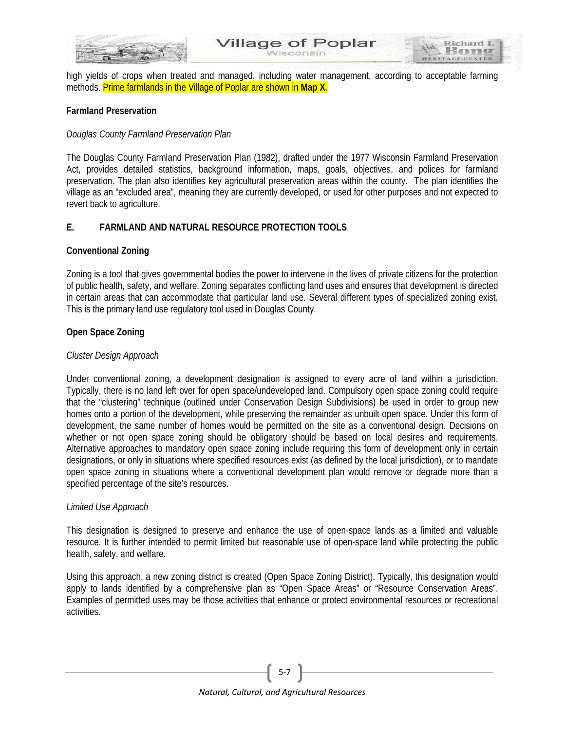

Richard I ROT

high yields of crops when treated and managed, including water management, according to acceptable farming methods. Prime farmlands in the Village of Poplar are shown in **Map X**.

#### **Farmland Preservation**

#### *Douglas County Farmland Preservation Plan*

The Douglas County Farmland Preservation Plan (1982), drafted under the 1977 Wisconsin Farmland Preservation Act, provides detailed statistics, background information, maps, goals, objectives, and polices for farmland preservation. The plan also identifies key agricultural preservation areas within the county. The plan identifies the village as an "excluded area", meaning they are currently developed, or used for other purposes and not expected to revert back to agriculture.

# **E. FARMLAND AND NATURAL RESOURCE PROTECTION TOOLS**

#### **Conventional Zoning**

Zoning is a tool that gives governmental bodies the power to intervene in the lives of private citizens for the protection of public health, safety, and welfare. Zoning separates conflicting land uses and ensures that development is directed in certain areas that can accommodate that particular land use. Several different types of specialized zoning exist. This is the primary land use regulatory tool used in Douglas County.

#### **Open Space Zoning**

#### *Cluster Design Approach*

Under conventional zoning, a development designation is assigned to every acre of land within a jurisdiction. Typically, there is no land left over for open space/undeveloped land. Compulsory open space zoning could require that the "clustering" technique (outlined under Conservation Design Subdivisions) be used in order to group new homes onto a portion of the development, while preserving the remainder as unbuilt open space. Under this form of development, the same number of homes would be permitted on the site as a conventional design. Decisions on whether or not open space zoning should be obligatory should be based on local desires and requirements. Alternative approaches to mandatory open space zoning include requiring this form of development only in certain designations, or only in situations where specified resources exist (as defined by the local jurisdiction), or to mandate open space zoning in situations where a conventional development plan would remove or degrade more than a specified percentage of the site's resources.

#### *Limited Use Approach*

This designation is designed to preserve and enhance the use of open-space lands as a limited and valuable resource. It is further intended to permit limited but reasonable use of open-space land while protecting the public health, safety, and welfare.

Using this approach, a new zoning district is created (Open Space Zoning District). Typically, this designation would apply to lands identified by a comprehensive plan as "Open Space Areas" or "Resource Conservation Areas". Examples of permitted uses may be those activities that enhance or protect environmental resources or recreational activities.

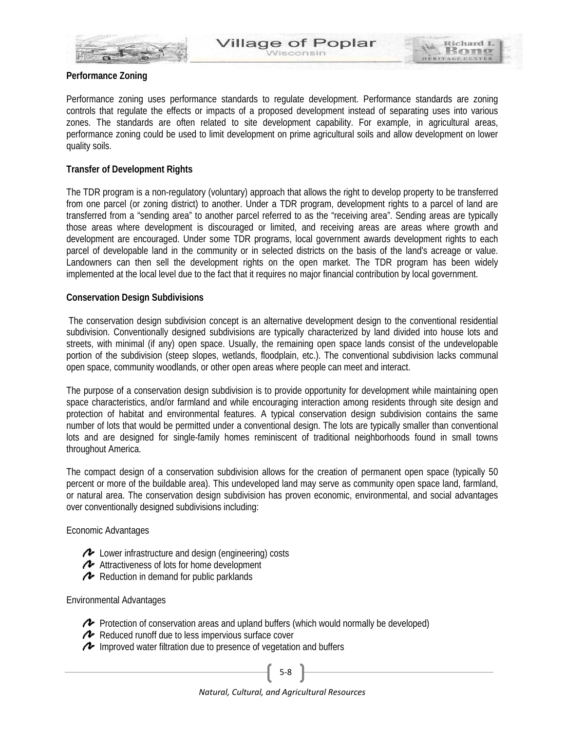

Performance zoning uses performance standards to regulate development. Performance standards are zoning controls that regulate the effects or impacts of a proposed development instead of separating uses into various zones. The standards are often related to site development capability. For example, in agricultural areas, performance zoning could be used to limit development on prime agricultural soils and allow development on lower quality soils.

Richard I BOT

#### **Transfer of Development Rights**

The TDR program is a non-regulatory (voluntary) approach that allows the right to develop property to be transferred from one parcel (or zoning district) to another. Under a TDR program, development rights to a parcel of land are transferred from a "sending area" to another parcel referred to as the "receiving area". Sending areas are typically those areas where development is discouraged or limited, and receiving areas are areas where growth and development are encouraged. Under some TDR programs, local government awards development rights to each parcel of developable land in the community or in selected districts on the basis of the land's acreage or value. Landowners can then sell the development rights on the open market. The TDR program has been widely implemented at the local level due to the fact that it requires no major financial contribution by local government.

#### **Conservation Design Subdivisions**

The conservation design subdivision concept is an alternative development design to the conventional residential subdivision. Conventionally designed subdivisions are typically characterized by land divided into house lots and streets, with minimal (if any) open space. Usually, the remaining open space lands consist of the undevelopable portion of the subdivision (steep slopes, wetlands, floodplain, etc.). The conventional subdivision lacks communal open space, community woodlands, or other open areas where people can meet and interact.

The purpose of a conservation design subdivision is to provide opportunity for development while maintaining open space characteristics, and/or farmland and while encouraging interaction among residents through site design and protection of habitat and environmental features. A typical conservation design subdivision contains the same number of lots that would be permitted under a conventional design. The lots are typically smaller than conventional lots and are designed for single-family homes reminiscent of traditional neighborhoods found in small towns throughout America.

The compact design of a conservation subdivision allows for the creation of permanent open space (typically 50 percent or more of the buildable area). This undeveloped land may serve as community open space land, farmland, or natural area. The conservation design subdivision has proven economic, environmental, and social advantages over conventionally designed subdivisions including:

Economic Advantages

- Lower infrastructure and design (engineering) costs
- Attractiveness of lots for home development
- Reduction in demand for public parklands

Environmental Advantages

- Protection of conservation areas and upland buffers (which would normally be developed)
- Reduced runoff due to less impervious surface cover
- Improved water filtration due to presence of vegetation and buffers

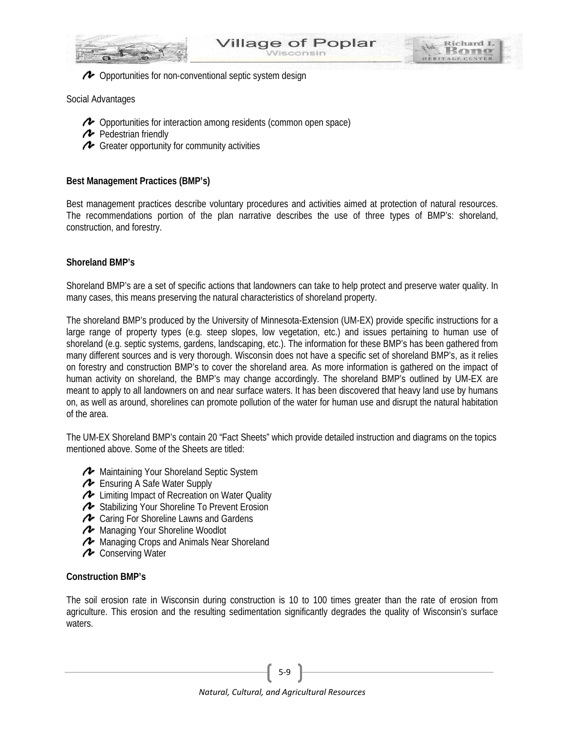

Opportunities for non-conventional septic system design

# Social Advantages

- Opportunities for interaction among residents (common open space)
- Pedestrian friendly
- Greater opportunity for community activities

# **Best Management Practices (BMP's)**

Best management practices describe voluntary procedures and activities aimed at protection of natural resources. The recommendations portion of the plan narrative describes the use of three types of BMP's: shoreland, construction, and forestry.

# **Shoreland BMP's**

Shoreland BMP's are a set of specific actions that landowners can take to help protect and preserve water quality. In many cases, this means preserving the natural characteristics of shoreland property.

The shoreland BMP's produced by the University of Minnesota-Extension (UM-EX) provide specific instructions for a large range of property types (e.g. steep slopes, low vegetation, etc.) and issues pertaining to human use of shoreland (e.g. septic systems, gardens, landscaping, etc.). The information for these BMP's has been gathered from many different sources and is very thorough. Wisconsin does not have a specific set of shoreland BMP's, as it relies on forestry and construction BMP's to cover the shoreland area. As more information is gathered on the impact of human activity on shoreland, the BMP's may change accordingly. The shoreland BMP's outlined by UM-EX are meant to apply to all landowners on and near surface waters. It has been discovered that heavy land use by humans on, as well as around, shorelines can promote pollution of the water for human use and disrupt the natural habitation of the area.

The UM-EX Shoreland BMP's contain 20 "Fact Sheets" which provide detailed instruction and diagrams on the topics mentioned above. Some of the Sheets are titled:

- Maintaining Your Shoreland Septic System
- Ensuring A Safe Water Supply
- ← Limiting Impact of Recreation on Water Quality
- ◆ Stabilizing Your Shoreline To Prevent Erosion
- ← Caring For Shoreline Lawns and Gardens
- Managing Your Shoreline Woodlot
- **A** Managing Crops and Animals Near Shoreland
- **A** Conserving Water

# **Construction BMP's**

The soil erosion rate in Wisconsin during construction is 10 to 100 times greater than the rate of erosion from agriculture. This erosion and the resulting sedimentation significantly degrades the quality of Wisconsin's surface waters.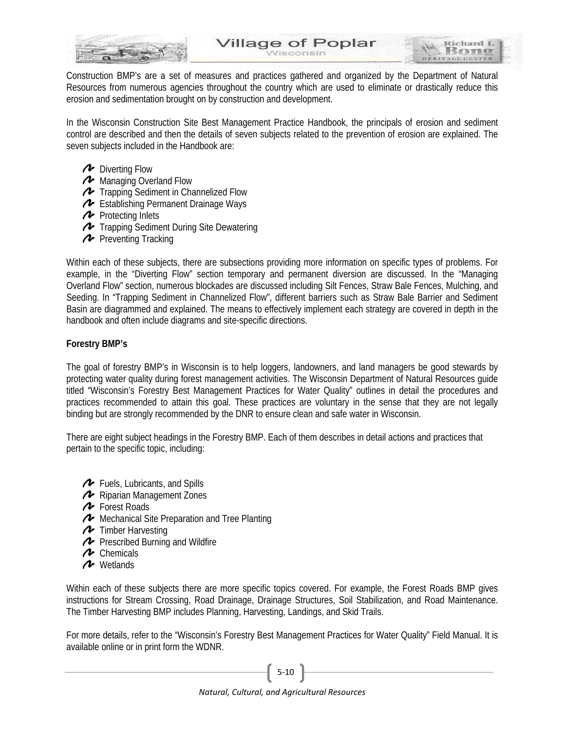

Construction BMP's are a set of measures and practices gathered and organized by the Department of Natural Resources from numerous agencies throughout the country which are used to eliminate or drastically reduce this erosion and sedimentation brought on by construction and development.

In the Wisconsin Construction Site Best Management Practice Handbook, the principals of erosion and sediment control are described and then the details of seven subjects related to the prevention of erosion are explained. The seven subjects included in the Handbook are:

- **2** Diverting Flow
- **A** Managing Overland Flow
- **Trapping Sediment in Channelized Flow**
- ← Establishing Permanent Drainage Ways
- $\sim$  Protecting Inlets
- Trapping Sediment During Site Dewatering
- **P** Preventing Tracking

Within each of these subjects, there are subsections providing more information on specific types of problems. For example, in the "Diverting Flow" section temporary and permanent diversion are discussed. In the "Managing Overland Flow" section, numerous blockades are discussed including Silt Fences, Straw Bale Fences, Mulching, and Seeding. In "Trapping Sediment in Channelized Flow", different barriers such as Straw Bale Barrier and Sediment Basin are diagrammed and explained. The means to effectively implement each strategy are covered in depth in the handbook and often include diagrams and site-specific directions.

# **Forestry BMP's**

The goal of forestry BMP's in Wisconsin is to help loggers, landowners, and land managers be good stewards by protecting water quality during forest management activities. The Wisconsin Department of Natural Resources guide titled "Wisconsin's Forestry Best Management Practices for Water Quality" outlines in detail the procedures and practices recommended to attain this goal. These practices are voluntary in the sense that they are not legally binding but are strongly recommended by the DNR to ensure clean and safe water in Wisconsin.

There are eight subject headings in the Forestry BMP. Each of them describes in detail actions and practices that pertain to the specific topic, including:

- **<sup>***+*</sup> Fuels, Lubricants, and Spills
- Riparian Management Zones
- **A** Forest Roads
- Mechanical Site Preparation and Tree Planting
- **T** Timber Harvesting
- **P** Prescribed Burning and Wildfire
- **A** Chemicals
- Wetlands

Within each of these subjects there are more specific topics covered. For example, the Forest Roads BMP gives instructions for Stream Crossing, Road Drainage, Drainage Structures, Soil Stabilization, and Road Maintenance. The Timber Harvesting BMP includes Planning, Harvesting, Landings, and Skid Trails.

For more details, refer to the "Wisconsin's Forestry Best Management Practices for Water Quality" Field Manual. It is available online or in print form the WDNR.

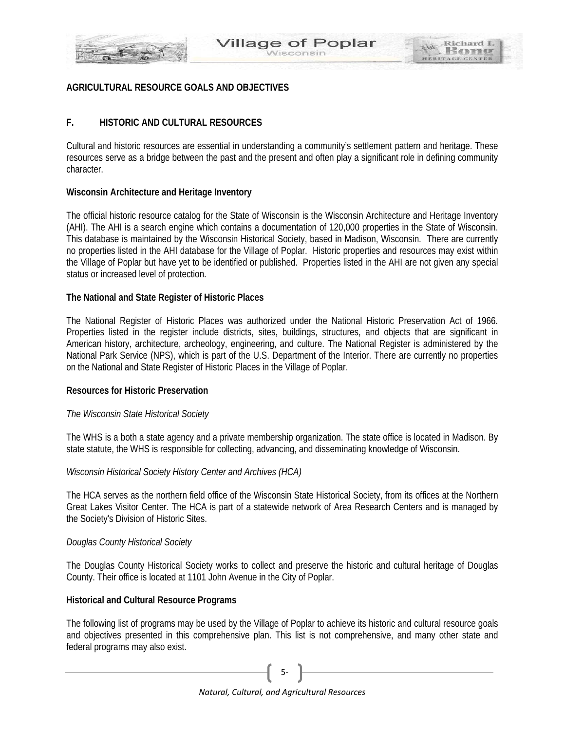

# **AGRICULTURAL RESOURCE GOALS AND OBJECTIVES**

# **F. HISTORIC AND CULTURAL RESOURCES**

Cultural and historic resources are essential in understanding a community's settlement pattern and heritage. These resources serve as a bridge between the past and the present and often play a significant role in defining community character.

# **Wisconsin Architecture and Heritage Inventory**

The official historic resource catalog for the State of Wisconsin is the Wisconsin Architecture and Heritage Inventory (AHI). The AHI is a search engine which contains a documentation of 120,000 properties in the State of Wisconsin. This database is maintained by the Wisconsin Historical Society, based in Madison, Wisconsin. There are currently no properties listed in the AHI database for the Village of Poplar. Historic properties and resources may exist within the Village of Poplar but have yet to be identified or published. Properties listed in the AHI are not given any special status or increased level of protection.

#### **The National and State Register of Historic Places**

The National Register of Historic Places was authorized under the National Historic Preservation Act of 1966. Properties listed in the register include districts, sites, buildings, structures, and objects that are significant in American history, architecture, archeology, engineering, and culture. The National Register is administered by the National Park Service (NPS), which is part of the U.S. Department of the Interior. There are currently no properties on the National and State Register of Historic Places in the Village of Poplar.

# **Resources for Historic Preservation**

# *The Wisconsin State Historical Society*

The WHS is a both a state agency and a private membership organization. The state office is located in Madison. By state statute, the WHS is responsible for collecting, advancing, and disseminating knowledge of Wisconsin.

# *Wisconsin Historical Society History Center and Archives (HCA)*

The HCA serves as the northern field office of the Wisconsin State Historical Society, from its offices at the Northern Great Lakes Visitor Center. The HCA is part of a statewide network of Area Research Centers and is managed by the Society's Division of Historic Sites.

#### *Douglas County Historical Society*

The Douglas County Historical Society works to collect and preserve the historic and cultural heritage of Douglas County. Their office is located at 1101 John Avenue in the City of Poplar.

#### **Historical and Cultural Resource Programs**

The following list of programs may be used by the Village of Poplar to achieve its historic and cultural resource goals and objectives presented in this comprehensive plan. This list is not comprehensive, and many other state and federal programs may also exist.